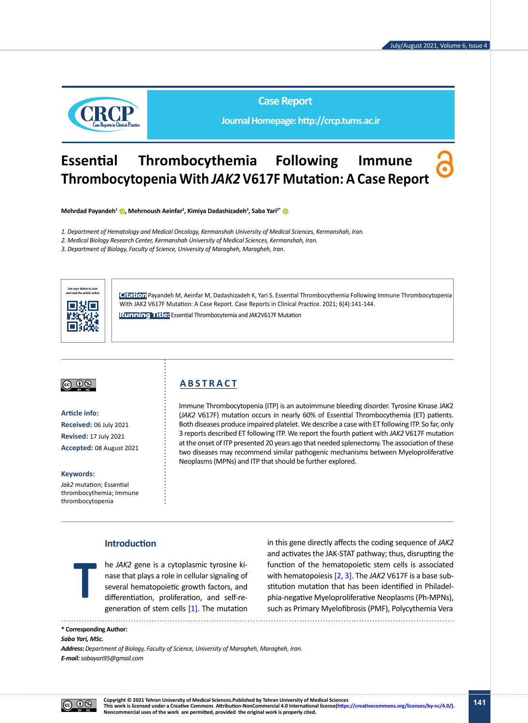

**Case Report**

**Journal Homepage: http://crcp.tums.ac.ir**

# **Essential Thrombocythemia Following Immune Thrombocytopenia With** *JAK2* **V617F Mutation: A Case Report**

**Mehrdad Payandeh1 , Mehrnoush Aeinfar2 , Kimiya Dadashizadeh<sup>3</sup> , Saba Yari3\***

- *1. Department of Hematology and Medical Oncology, Kermanshah University of Medical Sciences, Kermanshah, Iran.*
- *2. Medical Biology Research Center, Kermanshah University of Medical Sciences, Kermanshah, Iran.*

*3. Department of Biology, Faculty of Science, University of Maragheh, Maragheh, Iran.*



**Citation** Payandeh M, Aeinfar M, Dadashizadeh K, Yari S. Essential Thrombocythemia Following Immune Thrombocytopenia With JAK2 V617F Mutation: A Case Report. Case Reports in Clinical Practice. 2021; 6(4):141-144.

**Running Title:** Essential Thrombocytemia and JAK2V617F Mutation



**Article info: Received:** 06 July 2021 **Revised:** 17 July 2021 **Accepted:** 08 August 2021

#### **Keywords:**

*Jak2* mutation; Essential thrombocythemia; Immune thrombocytopenia

# **A B S T R A C T**

Immune Thrombocytopenia (ITP) is an autoimmune bleeding disorder. Tyrosine Kinase JAK2 (*JAK2* V617F) mutation occurs in nearly 60% of Essential Thrombocythemia (ET) patients. Both diseases produce impaired platelet. We describe a case with ET following ITP. So far, only 3 reports described ET following ITP. We report the fourth patient with *JAK2* V617F mutation at the onset of ITP presented 20 years ago that needed splenectomy. The association of these two diseases may recommend similar pathogenic mechanisms between Myeloproliferative Neoplasms (MPNs) and ITP that should be further explored.

# **Introduction**

he *JAK2* gene is a cytoplasmic tyrosine kinase that plays a role in cellular signaling of several hematopoietic growth factors, and differentiation, proliferation, and self-regeneration of stem cells  $[1]$ . The mutation

in this gene directly affects the coding sequence of *JAK2* and activates the JAK-STAT pathway; thus, disrupting the function of the hematopoietic stem cells is associated with hematopoiesis [\[2,](#page-3-1) [3\]](#page-3-2). The *JAK2* V617F is a base substitution mutation that has been identified in Philadelphia-negative Myeloproliferative Neoplasms (Ph-MPNs), such as Primary Myelofibrosis (PMF), Polycythemia Vera

#### **\* Corresponding Author:**

#### *Saba Yari, MSc.*

**T**

*Address: Department of Biology, Faculty of Science, University of Maragheh, Maragheh, Iran. E-mail: sabayari95@gmail.com*

 $\circledcirc$ 

**Copyright © 2021 Tehran University of Medical Sciences.Published by Tehran University of Medical Sciences This work is licensed under a Creative Commons Attribution-NonCommercial 4.0 International license([https://creativecommons.org/licenses/by-nc/4.0/\)](https://creativecommons.org/licenses/by-nc/4.0/). Noncommercial uses of the work are permitted, provided the original work is properly cited.**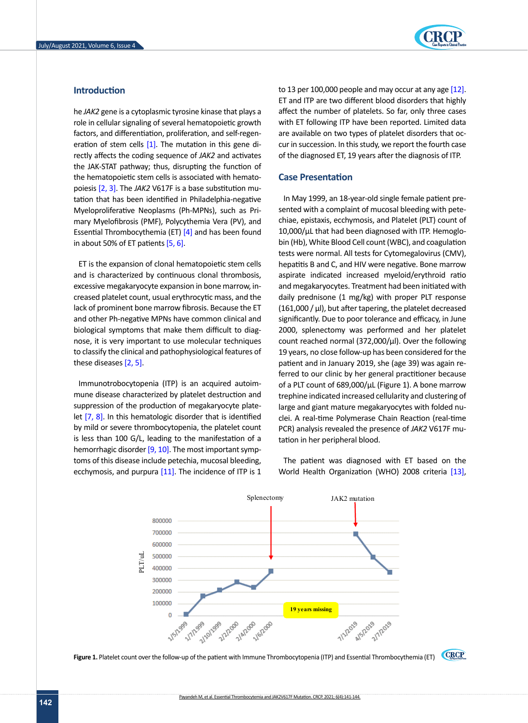# **Introduction**

he *JAK2* gene is a cytoplasmic tyrosine kinase that plays a role in cellular signaling of several hematopoietic growth factors, and differentiation, proliferation, and self-regeneration of stem cells  $[1]$ . The mutation in this gene directly affects the coding sequence of *JAK2* and activates the JAK-STAT pathway; thus, disrupting the function of the hematopoietic stem cells is associated with hematopoiesis [\[2,](#page-3-1) [3\]](#page-3-2). The *JAK2* V617F is a base substitution mutation that has been identified in Philadelphia-negative Myeloproliferative Neoplasms (Ph-MPNs), such as Primary Myelofibrosis (PMF), Polycythemia Vera (PV), and Essential Thrombocythemia (ET) [\[4\]](#page-3-3) and has been found in about 50% of ET patients [\[5,](#page-3-4) [6\].](#page-3-5)

ET is the expansion of clonal hematopoietic stem cells and is characterized by continuous clonal thrombosis, excessive megakaryocyte expansion in bone marrow, increased platelet count, usual erythrocytic mass, and the daily prednisone (1 mg/kg) with proper PLT res lack of prominent bone marrow fibrosis. Because the ET (1 and other Ph-negative MPNs have common clinical and biological symptoms that make them difficult to diagnose, it is very important to use molecular techniques to classify the clinical and pathophysiological features of these diseases [\[2,](#page-3-1) [5\].](#page-3-4)

Immunotrobocytopenia (ITP) is an acquired autoimmune disease characterized by platelet destruction and trephine indicated increased cellularity and cluste suppression of the production of megakaryocyte plate-<br>large and giant mature megakarioler and efficiency let [\[7,](#page-3-6) 8]. In this hematologic disorder that is identified clei. A real-time Polymerase Chain Reaction (rea by mild or severe thrombocytopenia, the platelet count is less than 100 G/L, leading to the manifestation of a cation in her peripheral blood. hemorrhagic disorder [\[9,](#page-3-7) [10\]](#page-3-8). The most important symptoms of this disease include petechia, mucosal bleeding, **The patient was diagnosed with ET** ecchymosis, and purpura [\[11\]](#page-3-9). The incidence of ITP is 1

to 13 per 100,000 people and may occur at any age  $[12]$ . ET and ITP are two different blood disorders that highly affect the number of platelets. So far, only three cases with ET following ITP have been reported. Limited data are available on two types of platelet disorders that occur in succession. In this study, we report the fourth case of the diagnosed ET, 19 years after the diagnosis of ITP.

#### **Case Presentation**

In May 1999, an 18-year-old single female patient presented with a complaint of mucosal bleeding with petechiae, epistaxis, ecchymosis, and Platelet (PLT) count of 10,000/μL that had been diagnosed with ITP. Hemoglobin (Hb), White Blood Cell count (WBC), and coagulation tests were normal. All tests for Cytomegalovirus (CMV), hepatitis B and C, and HIV were negative. Bone marrow aspirate indicated increased myeloid/erythroid ratio and megakaryocytes. Treatment had been initiated with daily prednisone (1 mg/kg) with proper PLT response  $(161,000 / \mu)$ , but after tapering, the platelet decreased significantly. Due to poor tolerance and efficacy, in June 2000, splenectomy was performed and her platelet very important to use molecular techniques count reached normal  $(372,000/\mu l)$ . Over the following the clinical and pathophysiological features of 19 years, no close follow-up has been considered for the ases [2, 5]. **which count (WBC), and count (WBC)** patient and in January 2019, she (age 39) was again referred to our clinic by her general practitioner because of a PLT count of 689,000/μL (Figure 1). A bone marrow trephine indicated increased cellularity and clustering of large and giant mature megakaryocytes with folded nuclei. A real-time Polymerase Chain Reaction (real-time follow-severe thrombocytopenia, the platelet count pcR) analysis revealed the presence of *JAK2* V617F mutation in her peripheral blood.

> The patient was diagnosed with ET based on the World Health Organization (WHO) 2008 criteria [\[13\]](#page-3-11),



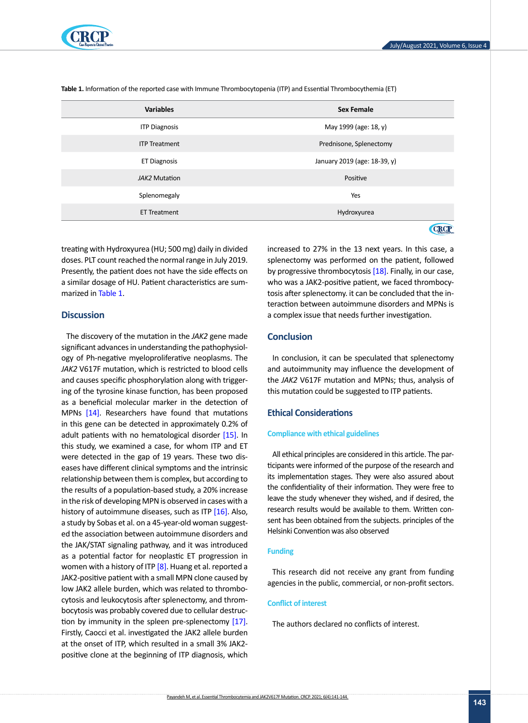

| <b>Variables</b>     | <b>Sex Female</b>            |
|----------------------|------------------------------|
| <b>ITP Diagnosis</b> | May 1999 (age: 18, y)        |
| <b>ITP Treatment</b> | Prednisone, Splenectomy      |
| <b>ET Diagnosis</b>  | January 2019 (age: 18-39, y) |
| JAK2 Mutation        | Positive                     |
| Splenomegaly         | Yes                          |
| <b>ET Treatment</b>  | Hydroxyurea                  |
|                      |                              |

<span id="page-2-0"></span>**Table 1.** Information of the reported case with Immune Thrombocytopenia (ITP) and Essential Thrombocythemia (ET)

treating with Hydroxyurea (HU; 500 mg) daily in divided doses. PLT count reached the normal range in July 2019. Presently, the patient does not have the side effects on a similar dosage of HU. Patient characteristics are sum-marized in [Table 1](#page-2-0).

### **Discussion**

The discovery of the mutation in the *JAK2* gene made significant advances in understanding the pathophysiology of Ph-negative myeloproliferative neoplasms. The *JAK2* V617F mutation, which is restricted to blood cells and causes specific phosphorylation along with triggering of the tyrosine kinase function, has been proposed as a beneficial molecular marker in the detection of MPNs [\[14\].](#page-3-12) Researchers have found that mutations in this gene can be detected in approximately 0.2% of adult patients with no hematological disorder [15]. In this study, we examined a case, for whom ITP and ET were detected in the gap of 19 years. These two diseases have different clinical symptoms and the intrinsic relationship between them is complex, but according to the results of a population-based study, a 20% increase in the risk of developing MPN is observed in cases with a history of autoimmune diseases, such as ITP [16]. Also, a study by Sobas et al. on a 45-year-old woman suggested the association between autoimmune disorders and the JAK/STAT signaling pathway, and it was introduced as a potential factor for neoplastic ET progression in women with a history of ITP  $[8]$ . Huang et al. reported a JAK2-positive patient with a small MPN clone caused by low JAK2 allele burden, which was related to thrombocytosis and leukocytosis after splenectomy, and thrombocytosis was probably covered due to cellular destruc-tion by immunity in the spleen pre-splenectomy [\[17\].](#page-3-13) Firstly, Caocci et al. investigated the JAK2 allele burden at the onset of ITP, which resulted in a small 3% JAK2 positive clone at the beginning of ITP diagnosis, which

increased to 27% in the 13 next years. In this case, a splenectomy was performed on the patient, followed by progressive thrombocytosis [\[18\]](#page-3-4). Finally, in our case, who was a JAK2-positive patient, we faced thrombocytosis after splenectomy. it can be concluded that the interaction between autoimmune disorders and MPNs is a complex issue that needs further investigation.

# **Conclusion**

In conclusion, it can be speculated that splenectomy and autoimmunity may influence the development of the *JAK2* V617F mutation and MPNs; thus, analysis of this mutation could be suggested to ITP patients.

## **Ethical Considerations**

#### **Compliance with ethical guidelines**

All ethical principles are considered in this article. The participants were informed of the purpose of the research and its implementation stages. They were also assured about the confidentiality of their information. They were free to leave the study whenever they wished, and if desired, the research results would be available to them. Written consent has been obtained from the subjects. principles of the Helsinki Convention was also observed

#### **Funding**

This research did not receive any grant from funding agencies in the public, commercial, or non-profit sectors.

#### **Conflict of interest**

The authors declared no conflicts of interest.